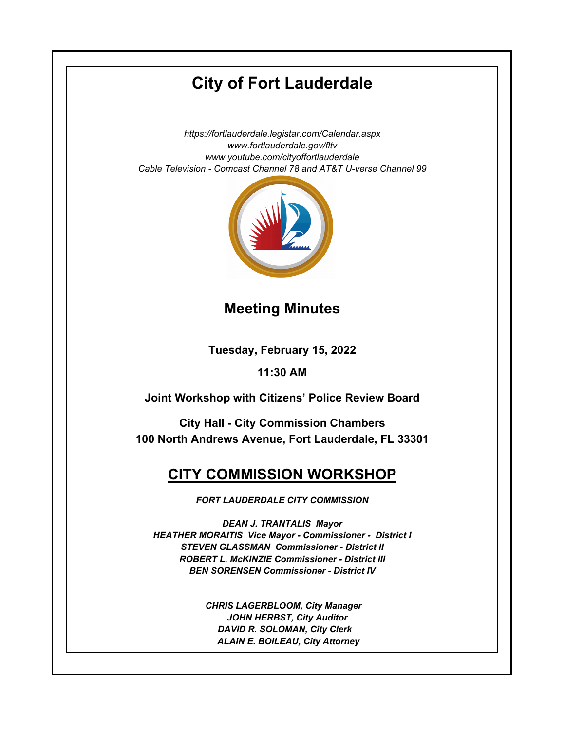# **City of Fort Lauderdale**

*https://fortlauderdale.legistar.com/Calendar.aspx www.fortlauderdale.gov/fltv www.youtube.com/cityoffortlauderdale Cable Television - Comcast Channel 78 and AT&T U-verse Channel 99*



### **Meeting Minutes**

**Tuesday, February 15, 2022**

### **11:30 AM**

**Joint Workshop with Citizens' Police Review Board**

**City Hall - City Commission Chambers 100 North Andrews Avenue, Fort Lauderdale, FL 33301**

## **CITY COMMISSION WORKSHOP**

*FORT LAUDERDALE CITY COMMISSION*

*DEAN J. TRANTALIS Mayor HEATHER MORAITIS Vice Mayor - Commissioner - District I STEVEN GLASSMAN Commissioner - District II ROBERT L. McKINZIE Commissioner - District III BEN SORENSEN Commissioner - District IV*

> *CHRIS LAGERBLOOM, City Manager JOHN HERBST, City Auditor DAVID R. SOLOMAN, City Clerk ALAIN E. BOILEAU, City Attorney*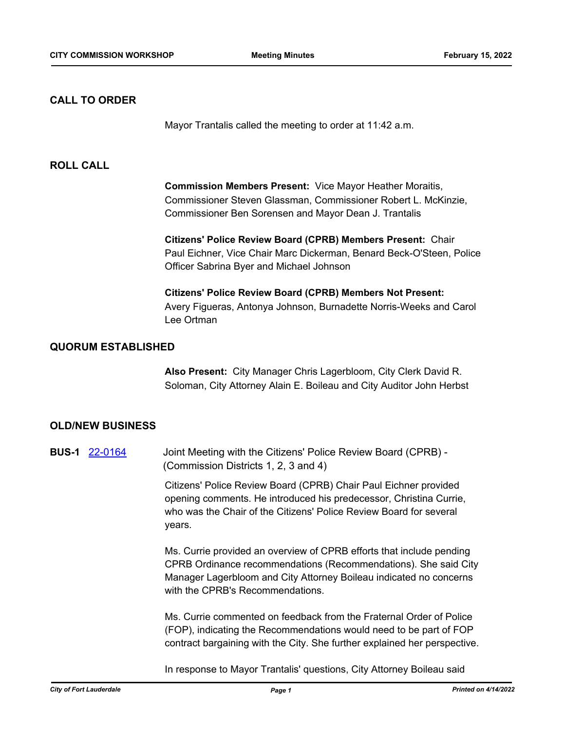#### **CALL TO ORDER**

Mayor Trantalis called the meeting to order at 11:42 a.m.

#### **ROLL CALL**

**Commission Members Present:** Vice Mayor Heather Moraitis, Commissioner Steven Glassman, Commissioner Robert L. McKinzie, Commissioner Ben Sorensen and Mayor Dean J. Trantalis

**Citizens' Police Review Board (CPRB) Members Present:** Chair Paul Eichner, Vice Chair Marc Dickerman, Benard Beck-O'Steen, Police Officer Sabrina Byer and Michael Johnson

**Citizens' Police Review Board (CPRB) Members Not Present:**  Avery Figueras, Antonya Johnson, Burnadette Norris-Weeks and Carol Lee Ortman

#### **QUORUM ESTABLISHED**

**Also Present:** City Manager Chris Lagerbloom, City Clerk David R. Soloman, City Attorney Alain E. Boileau and City Auditor John Herbst

#### **OLD/NEW BUSINESS**

**BUS-1** [22-0164](http://fortlauderdale.legistar.com/gateway.aspx?m=l&id=/matter.aspx?key=16285) Joint Meeting with the Citizens' Police Review Board (CPRB) - (Commission Districts 1, 2, 3 and 4)

> Citizens' Police Review Board (CPRB) Chair Paul Eichner provided opening comments. He introduced his predecessor, Christina Currie, who was the Chair of the Citizens' Police Review Board for several years.

Ms. Currie provided an overview of CPRB efforts that include pending CPRB Ordinance recommendations (Recommendations). She said City Manager Lagerbloom and City Attorney Boileau indicated no concerns with the CPRB's Recommendations.

Ms. Currie commented on feedback from the Fraternal Order of Police (FOP), indicating the Recommendations would need to be part of FOP contract bargaining with the City. She further explained her perspective.

In response to Mayor Trantalis' questions, City Attorney Boileau said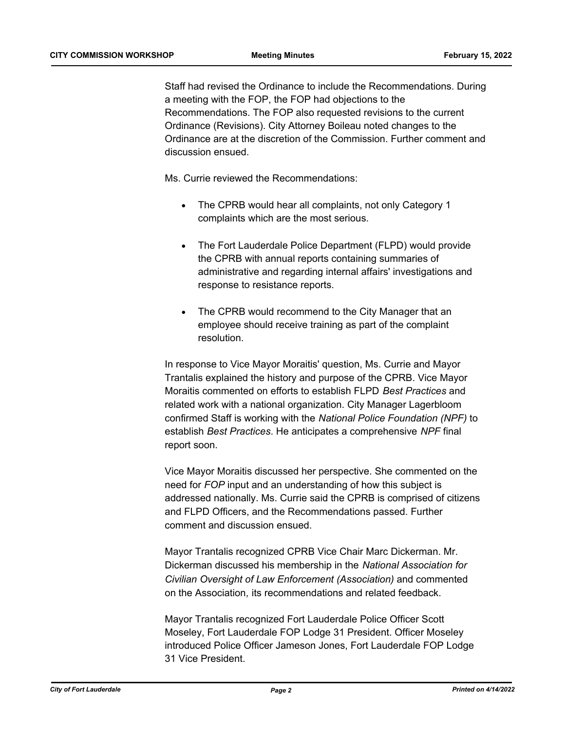Staff had revised the Ordinance to include the Recommendations. During a meeting with the FOP, the FOP had objections to the Recommendations. The FOP also requested revisions to the current Ordinance (Revisions). City Attorney Boileau noted changes to the Ordinance are at the discretion of the Commission. Further comment and discussion ensued.

Ms. Currie reviewed the Recommendations:

- The CPRB would hear all complaints, not only Category 1 complaints which are the most serious.
- The Fort Lauderdale Police Department (FLPD) would provide the CPRB with annual reports containing summaries of administrative and regarding internal affairs' investigations and response to resistance reports.
- The CPRB would recommend to the City Manager that an employee should receive training as part of the complaint resolution.

In response to Vice Mayor Moraitis' question, Ms. Currie and Mayor Trantalis explained the history and purpose of the CPRB. Vice Mayor Moraitis commented on efforts to establish FLPD *Best Practices* and related work with a national organization. City Manager Lagerbloom confirmed Staff is working with the *National Police Foundation (NPF)* to establish *Best Practices*. He anticipates a comprehensive *NPF* final report soon.

Vice Mayor Moraitis discussed her perspective. She commented on the need for *FOP* input and an understanding of how this subject is addressed nationally. Ms. Currie said the CPRB is comprised of citizens and FLPD Officers, and the Recommendations passed. Further comment and discussion ensued.

Mayor Trantalis recognized CPRB Vice Chair Marc Dickerman. Mr. Dickerman discussed his membership in the *National Association for Civilian Oversight of Law Enforcement (Association)* and commented on the Association*,* its recommendations and related feedback.

Mayor Trantalis recognized Fort Lauderdale Police Officer Scott Moseley, Fort Lauderdale FOP Lodge 31 President. Officer Moseley introduced Police Officer Jameson Jones, Fort Lauderdale FOP Lodge 31 Vice President.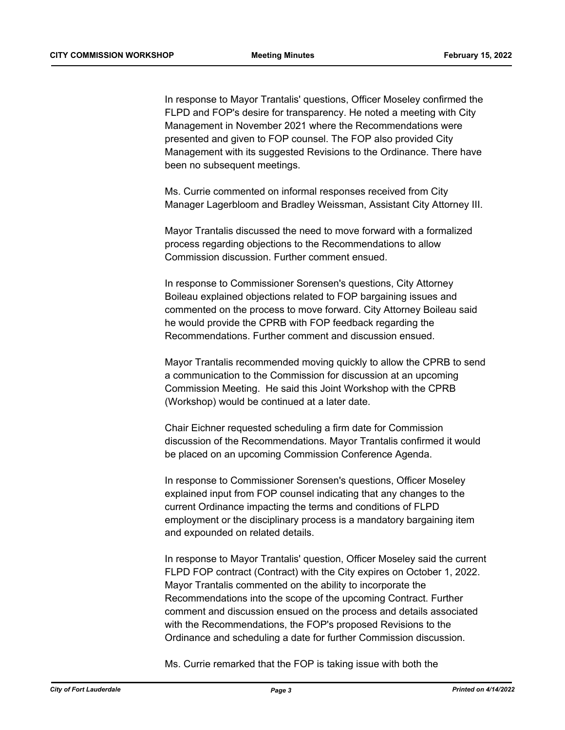In response to Mayor Trantalis' questions, Officer Moseley confirmed the FLPD and FOP's desire for transparency. He noted a meeting with City Management in November 2021 where the Recommendations were presented and given to FOP counsel. The FOP also provided City Management with its suggested Revisions to the Ordinance. There have been no subsequent meetings.

Ms. Currie commented on informal responses received from City Manager Lagerbloom and Bradley Weissman, Assistant City Attorney III.

Mayor Trantalis discussed the need to move forward with a formalized process regarding objections to the Recommendations to allow Commission discussion. Further comment ensued.

In response to Commissioner Sorensen's questions, City Attorney Boileau explained objections related to FOP bargaining issues and commented on the process to move forward. City Attorney Boileau said he would provide the CPRB with FOP feedback regarding the Recommendations. Further comment and discussion ensued.

Mayor Trantalis recommended moving quickly to allow the CPRB to send a communication to the Commission for discussion at an upcoming Commission Meeting. He said this Joint Workshop with the CPRB (Workshop) would be continued at a later date.

Chair Eichner requested scheduling a firm date for Commission discussion of the Recommendations. Mayor Trantalis confirmed it would be placed on an upcoming Commission Conference Agenda.

In response to Commissioner Sorensen's questions, Officer Moseley explained input from FOP counsel indicating that any changes to the current Ordinance impacting the terms and conditions of FLPD employment or the disciplinary process is a mandatory bargaining item and expounded on related details.

In response to Mayor Trantalis' question, Officer Moseley said the current FLPD FOP contract (Contract) with the City expires on October 1, 2022. Mayor Trantalis commented on the ability to incorporate the Recommendations into the scope of the upcoming Contract. Further comment and discussion ensued on the process and details associated with the Recommendations, the FOP's proposed Revisions to the Ordinance and scheduling a date for further Commission discussion.

Ms. Currie remarked that the FOP is taking issue with both the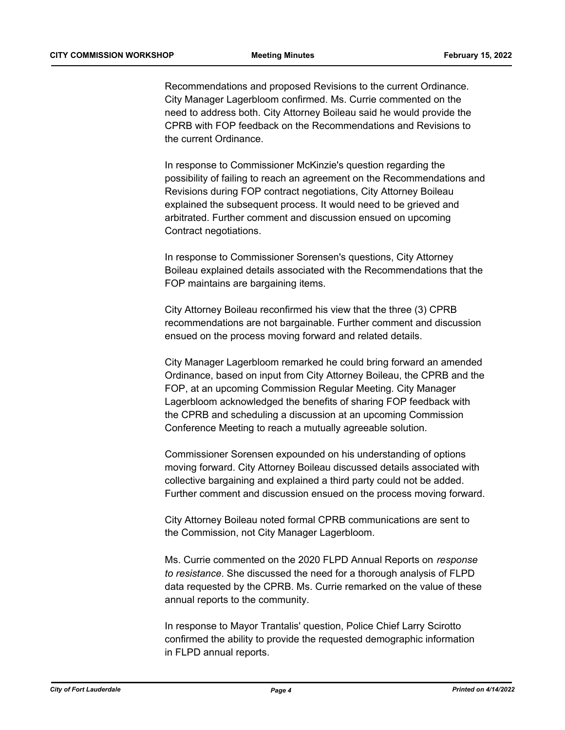Recommendations and proposed Revisions to the current Ordinance. City Manager Lagerbloom confirmed. Ms. Currie commented on the need to address both. City Attorney Boileau said he would provide the CPRB with FOP feedback on the Recommendations and Revisions to the current Ordinance.

In response to Commissioner McKinzie's question regarding the possibility of failing to reach an agreement on the Recommendations and Revisions during FOP contract negotiations, City Attorney Boileau explained the subsequent process. It would need to be grieved and arbitrated. Further comment and discussion ensued on upcoming Contract negotiations.

In response to Commissioner Sorensen's questions, City Attorney Boileau explained details associated with the Recommendations that the FOP maintains are bargaining items.

City Attorney Boileau reconfirmed his view that the three (3) CPRB recommendations are not bargainable. Further comment and discussion ensued on the process moving forward and related details.

City Manager Lagerbloom remarked he could bring forward an amended Ordinance, based on input from City Attorney Boileau, the CPRB and the FOP, at an upcoming Commission Regular Meeting. City Manager Lagerbloom acknowledged the benefits of sharing FOP feedback with the CPRB and scheduling a discussion at an upcoming Commission Conference Meeting to reach a mutually agreeable solution.

Commissioner Sorensen expounded on his understanding of options moving forward. City Attorney Boileau discussed details associated with collective bargaining and explained a third party could not be added. Further comment and discussion ensued on the process moving forward.

City Attorney Boileau noted formal CPRB communications are sent to the Commission, not City Manager Lagerbloom.

Ms. Currie commented on the 2020 FLPD Annual Reports on *response to resistance*. She discussed the need for a thorough analysis of FLPD data requested by the CPRB. Ms. Currie remarked on the value of these annual reports to the community.

In response to Mayor Trantalis' question, Police Chief Larry Scirotto confirmed the ability to provide the requested demographic information in FLPD annual reports.